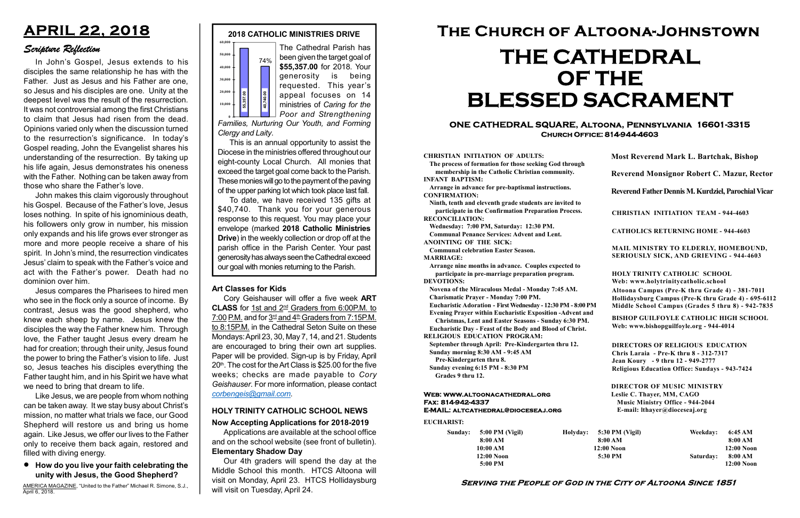#### Serving the People of God in the City of Altoona Since 1851

Sunday: 5:00 PM (Vigil) 8:00 AM 10:00 AM 12:00 Noon 5:00 PM

Holyday:

#### Web: www.altoonacathedral.org Fax: 814-942-4337 E-MAIL: altcathedral@dioceseaj.org

EUCHARIST:

#### CHRISTIAN INITIATION OF ADULTS:

The process of formation for those seeking God through membership in the Catholic Christian community. INFANT BAPTISM:

Arrange in advance for pre-baptismal instructions. CONFIRMATION:

Ninth, tenth and eleventh grade students are invited to participate in the Confirmation Preparation Process. RECONCILIATION:

Wednesday: 7:00 PM, Saturday: 12:30 PM. Communal Penance Services: Advent and Lent.

ANOINTING OF THE SICK:

Communal celebration Easter Season. MARRIAGE:

Arrange nine months in advance. Couples expected to participate in pre-marriage preparation program. DEVOTIONS:

Novena of the Miraculous Medal - Monday 7:45 AM.

Charismatic Prayer - Monday 7:00 PM. Eucharistic Adoration - First Wednesday - 12:30 PM - 8:00 PM

Evening Prayer within Eucharistic Exposition -Advent and

Christmas, Lent and Easter Seasons - Sunday 6:30 PM. Eucharistic Day - Feast of the Body and Blood of Christ.

|                       | <b>Most Reverend Mark L. Bartchak, Bishop</b><br>Reverend Monsignor Robert C. Mazur, Rector                                                                                     |           |                         |
|-----------------------|---------------------------------------------------------------------------------------------------------------------------------------------------------------------------------|-----------|-------------------------|
|                       |                                                                                                                                                                                 |           |                         |
|                       | Reverend Father Dennis M. Kurdziel, Parochial Vicar                                                                                                                             |           |                         |
|                       | <b>CHRISTIAN INITIATION TEAM - 944-4603</b>                                                                                                                                     |           |                         |
|                       | <b>CATHOLICS RETURNING HOME - 944-4603</b>                                                                                                                                      |           |                         |
|                       | MAIL MINISTRY TO ELDERLY, HOMEBOUND,<br>SERIOUSLY SICK, AND GRIEVING - 944-4603                                                                                                 |           |                         |
|                       | <b>HOLY TRINITY CATHOLIC SCHOOL</b><br>Web: www.holytrinitycatholic.school                                                                                                      |           |                         |
| М                     | Altoona Campus (Pre-K thru Grade 4) - 381-7011<br>Hollidaysburg Campus (Pre-K thru Grade 4) - 695-6112<br>Middle School Campus (Grades 5 thru 8) - 942-7835                     |           |                         |
| ł                     | <b>BISHOP GUILFOYLE CATHOLIC HIGH SCHOOL</b><br>Web: www.bishopguilfoyle.org - 944-4014                                                                                         |           |                         |
|                       | <b>DIRECTORS OF RELIGIOUS EDUCATION</b><br>Chris Laraia - Pre-K thru 8 - 312-7317<br>Jean Koury - 9 thru 12 - 949-2777<br><b>Religious Education Office: Sundays - 943-7424</b> |           |                         |
|                       | <b>DIRECTOR OF MUSIC MINISTRY</b><br>Leslie C. Thayer, MM, CAGO<br><b>Music Ministry Office - 944-2044</b><br>E-mail: lthayer@dioceseaj.org                                     |           |                         |
| 5:30 PM (Vigil)       |                                                                                                                                                                                 | Weekday:  | 6:45 AM                 |
| 8:00 AM<br>12:00 Noon |                                                                                                                                                                                 |           | 8:00 AM<br>12:00 Noon   |
| 5:30 PM               |                                                                                                                                                                                 | Saturday: | 8:00 AM<br>$12:00$ Noon |
|                       |                                                                                                                                                                                 |           |                         |

RELIGIOUS EDUCATION PROGRAM:

September through April: Pre-Kindergarten thru 12. Sunday morning 8:30 AM - 9:45 AM

Pre-Kindergarten thru 8.

Sunday evening 6:15 PM - 8:30 PM Grades 9 thru 12.



To date, we have received 135 gifts at \$40,740. Thank you for your generous response to this request. You may place your envelope (marked 2018 Catholic Ministries Drive) in the weekly collection or drop off at the parish office in the Parish Center. Your past generosity has always seen the Cathedral exceed The monoid of the state of Caring for the Poor and Strengthening Clergy and Laity.<br>
This is an annual opportunity to assist the Diocese in the ministries offered throughout our eight-county Local Church. All monies that e

#### ONE CATHEDRAL SQUARE, Altoona, Pennsylvania 16601-3315 Church Office: 814-944-4603

# The Church of Altoona-Johnstown THE CATHEDRAL OF THE BLESSED SACRAMENT

#### Now Accepting Applications for 2018-2019

Applications are available at the school office and on the school website (see front of bulletin). Elementary Shadow Day

#### HOLY TRINITY CATHOLIC SCHOOL NEWS

Our 4th graders will spend the day at the Middle School this month. HTCS Altoona will visit on Monday, April 23. HTCS Hollidaysburg will visit on Tuesday, April 24.

#### Art Classes for Kids

Cory Geishauser will offer a five week ART CLASS for 1st and 2<sup>nd</sup> Graders from 6:00P.M. to 7:00 P.M. and for  $3<sup>rd</sup>$  and  $4<sup>th</sup>$  Graders from 7:15P.M. to 8:15P.M. in the Cathedral Seton Suite on these Mondays: April 23, 30, May 7, 14, and 21. Students are encouraged to bring their own art supplies. Paper will be provided. Sign-up is by Friday, April 20<sup>th</sup>. The cost for the Art Class is \$25.00 for the five weeks; checks are made payable to Cory Geishauser. For more information, please contact corbengeis@gmail.com.

been given the target goal of \$55,357.00 for 2018. Your generosity is being requested. This year's appeal focuses on 14 ministries of Caring for the Poor and Strengthening

Families, Nurturing Our Youth, and Forming Clergy and Laity.

This is an annual opportunity to assist the Diocese in the ministries offered throughout our eight-county Local Church. All monies that exceed the target goal come back to the Parish. These monies will go to the payment of the paving of the upper parking lot which took place last fall.

## APRIL 22, 2018

### Scripture Reflection

How do you live your faith celebrating the unity with Jesus, the Good Shepherd?

In John's Gospel, Jesus extends to his disciples the same relationship he has with the Father. Just as Jesus and his Father are one, so Jesus and his disciples are one. Unity at the deepest level was the result of the resurrection. It was not controversial among the first Christians to claim that Jesus had risen from the dead. Opinions varied only when the discussion turned to the resurrection's significance. In today's Gospel reading, John the Evangelist shares his understanding of the resurrection. By taking up his life again, Jesus demonstrates his oneness with the Father. Nothing can be taken away from those who share the Father's love.

John makes this claim vigorously throughout his Gospel. Because of the Father's love, Jesus loses nothing. In spite of his ignominious death, his followers only grow in number, his mission only expands and his life grows ever stronger as more and more people receive a share of his spirit. In John's mind, the resurrection vindicates Jesus' claim to speak with the Father's voice and act with the Father's power. Death had no dominion over him.

Jesus compares the Pharisees to hired men who see in the flock only a source of income. By contrast, Jesus was the good shepherd, who knew each sheep by name. Jesus knew the disciples the way the Father knew him. Through love, the Father taught Jesus every dream he had for creation; through their unity, Jesus found the power to bring the Father's vision to life. Just so, Jesus teaches his disciples everything the Father taught him, and in his Spirit we have what we need to bring that dream to life.

Like Jesus, we are people from whom nothing can be taken away. It we stay busy about Christ's mission, no matter what trials we face, our Good Shepherd will restore us and bring us home again. Like Jesus, we offer our lives to the Father only to receive them back again, restored and filled with diving energy.